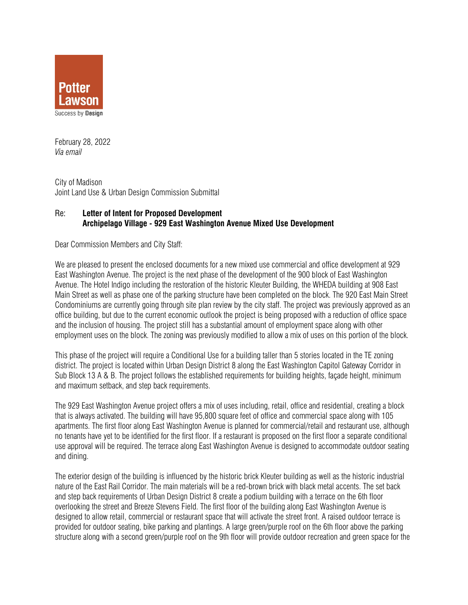

February 28, 2022 *Via email* 

City of Madison Joint Land Use & Urban Design Commission Submittal

## Re: **Letter of Intent for Proposed Development Archipelago Village - 929 East Washington Avenue Mixed Use Development**

Dear Commission Members and City Staff:

We are pleased to present the enclosed documents for a new mixed use commercial and office development at 929 East Washington Avenue. The project is the next phase of the development of the 900 block of East Washington Avenue. The Hotel Indigo including the restoration of the historic Kleuter Building, the WHEDA building at 908 East Main Street as well as phase one of the parking structure have been completed on the block. The 920 East Main Street Condominiums are currently going through site plan review by the city staff. The project was previously approved as an office building, but due to the current economic outlook the project is being proposed with a reduction of office space and the inclusion of housing. The project still has a substantial amount of employment space along with other employment uses on the block. The zoning was previously modified to allow a mix of uses on this portion of the block.

This phase of the project will require a Conditional Use for a building taller than 5 stories located in the TE zoning district. The project is located within Urban Design District 8 along the East Washington Capitol Gateway Corridor in Sub Block 13 A & B. The project follows the established requirements for building heights, façade height, minimum and maximum setback, and step back requirements.

The 929 East Washington Avenue project offers a mix of uses including, retail, office and residential, creating a block that is always activated. The building will have 95,800 square feet of office and commercial space along with 105 apartments. The first floor along East Washington Avenue is planned for commercial/retail and restaurant use, although no tenants have yet to be identified for the first floor. If a restaurant is proposed on the first floor a separate conditional use approval will be required. The terrace along East Washington Avenue is designed to accommodate outdoor seating and dining.

The exterior design of the building is influenced by the historic brick Kleuter building as well as the historic industrial nature of the East Rail Corridor. The main materials will be a red-brown brick with black metal accents. The set back and step back requirements of Urban Design District 8 create a podium building with a terrace on the 6th floor overlooking the street and Breeze Stevens Field. The first floor of the building along East Washington Avenue is designed to allow retail, commercial or restaurant space that will activate the street front. A raised outdoor terrace is provided for outdoor seating, bike parking and plantings. A large green/purple roof on the 6th floor above the parking structure along with a second green/purple roof on the 9th floor will provide outdoor recreation and green space for the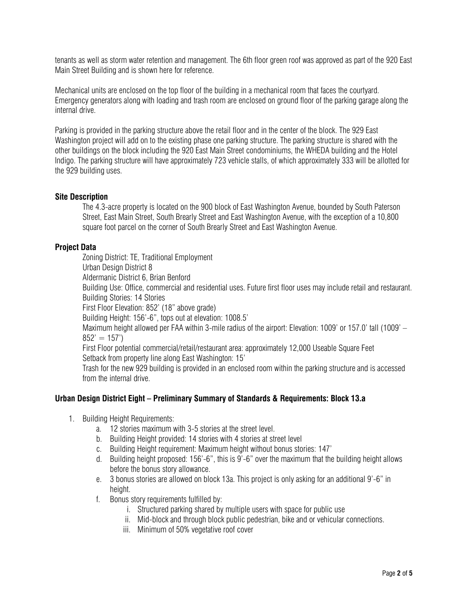tenants as well as storm water retention and management. The 6th floor green roof was approved as part of the 920 East Main Street Building and is shown here for reference.

Mechanical units are enclosed on the top floor of the building in a mechanical room that faces the courtyard. Emergency generators along with loading and trash room are enclosed on ground floor of the parking garage along the internal drive.

Parking is provided in the parking structure above the retail floor and in the center of the block. The 929 East Washington project will add on to the existing phase one parking structure. The parking structure is shared with the other buildings on the block including the 920 East Main Street condominiums, the WHEDA building and the Hotel Indigo. The parking structure will have approximately 723 vehicle stalls, of which approximately 333 will be allotted for the 929 building uses.

## **Site Description**

The 4.3-acre property is located on the 900 block of East Washington Avenue, bounded by South Paterson Street, East Main Street, South Brearly Street and East Washington Avenue, with the exception of a 10,800 square foot parcel on the corner of South Brearly Street and East Washington Avenue.

### **Project Data**

Zoning District: TE, Traditional Employment Urban Design District 8 Aldermanic District 6, Brian Benford Building Use: Office, commercial and residential uses. Future first floor uses may include retail and restaurant. Building Stories: 14 Stories First Floor Elevation: 852' (18" above grade) Building Height: 156'-6", tops out at elevation: 1008.5' Maximum height allowed per FAA within 3-mile radius of the airport: Elevation: 1009' or 157.0' tall (1009' –  $852' = 157'$ First Floor potential commercial/retail/restaurant area: approximately 12,000 Useable Square Feet Setback from property line along East Washington: 15' Trash for the new 929 building is provided in an enclosed room within the parking structure and is accessed from the internal drive.

#### **Urban Design District Eight – Preliminary Summary of Standards & Requirements: Block 13.a**

- 1. Building Height Requirements:
	- a. 12 stories maximum with 3-5 stories at the street level.
	- b. Building Height provided: 14 stories with 4 stories at street level
	- c. Building Height requirement: Maximum height without bonus stories: 147'
	- d. Building height proposed: 156'-6", this is 9'-6" over the maximum that the building height allows before the bonus story allowance.
	- e. 3 bonus stories are allowed on block 13a. This project is only asking for an additional 9'-6" in height.
	- f. Bonus story requirements fulfilled by:
		- i. Structured parking shared by multiple users with space for public use
		- ii. Mid-block and through block public pedestrian, bike and or vehicular connections.
		- iii. Minimum of 50% vegetative roof cover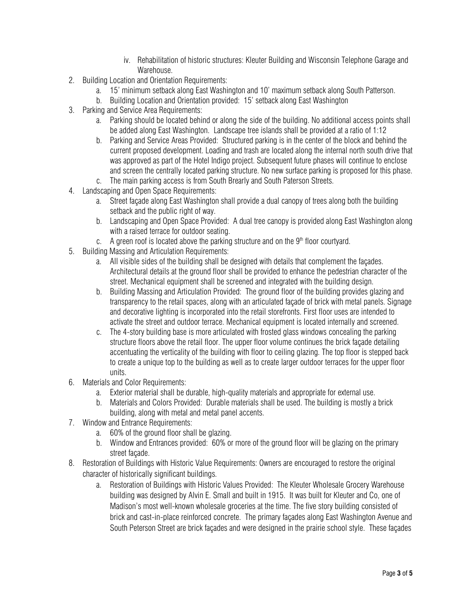- iv. Rehabilitation of historic structures: Kleuter Building and Wisconsin Telephone Garage and Warehouse.
- 2. Building Location and Orientation Requirements:
	- a. 15' minimum setback along East Washington and 10' maximum setback along South Patterson.
	- b. Building Location and Orientation provided: 15' setback along East Washington
- 3. Parking and Service Area Requirements:
	- a. Parking should be located behind or along the side of the building. No additional access points shall be added along East Washington. Landscape tree islands shall be provided at a ratio of 1:12
	- b. Parking and Service Areas Provided: Structured parking is in the center of the block and behind the current proposed development. Loading and trash are located along the internal north south drive that was approved as part of the Hotel Indigo project. Subsequent future phases will continue to enclose and screen the centrally located parking structure. No new surface parking is proposed for this phase.
	- c. The main parking access is from South Brearly and South Paterson Streets.
- 4. Landscaping and Open Space Requirements:
	- a. Street façade along East Washington shall provide a dual canopy of trees along both the building setback and the public right of way.
	- b. Landscaping and Open Space Provided: A dual tree canopy is provided along East Washington along with a raised terrace for outdoor seating.
	- c. A green roof is located above the parking structure and on the  $9<sup>th</sup>$  floor courtyard.
- 5. Building Massing and Articulation Requirements:
	- a. All visible sides of the building shall be designed with details that complement the façades. Architectural details at the ground floor shall be provided to enhance the pedestrian character of the street. Mechanical equipment shall be screened and integrated with the building design.
	- b. Building Massing and Articulation Provided: The ground floor of the building provides glazing and transparency to the retail spaces, along with an articulated façade of brick with metal panels. Signage and decorative lighting is incorporated into the retail storefronts. First floor uses are intended to activate the street and outdoor terrace. Mechanical equipment is located internally and screened.
	- c. The 4-story building base is more articulated with frosted glass windows concealing the parking structure floors above the retail floor. The upper floor volume continues the brick façade detailing accentuating the verticality of the building with floor to ceiling glazing. The top floor is stepped back to create a unique top to the building as well as to create larger outdoor terraces for the upper floor units.
- 6. Materials and Color Requirements:
	- a. Exterior material shall be durable, high-quality materials and appropriate for external use.
	- b. Materials and Colors Provided: Durable materials shall be used. The building is mostly a brick building, along with metal and metal panel accents.
- 7. Window and Entrance Requirements:
	- a. 60% of the ground floor shall be glazing.
	- b. Window and Entrances provided: 60% or more of the ground floor will be glazing on the primary street façade.
- 8. Restoration of Buildings with Historic Value Requirements: Owners are encouraged to restore the original character of historically significant buildings.
	- a. Restoration of Buildings with Historic Values Provided: The Kleuter Wholesale Grocery Warehouse building was designed by Alvin E. Small and built in 1915. It was built for Kleuter and Co, one of Madison's most well-known wholesale groceries at the time. The five story building consisted of brick and cast-in-place reinforced concrete. The primary façades along East Washington Avenue and South Peterson Street are brick façades and were designed in the prairie school style. These façades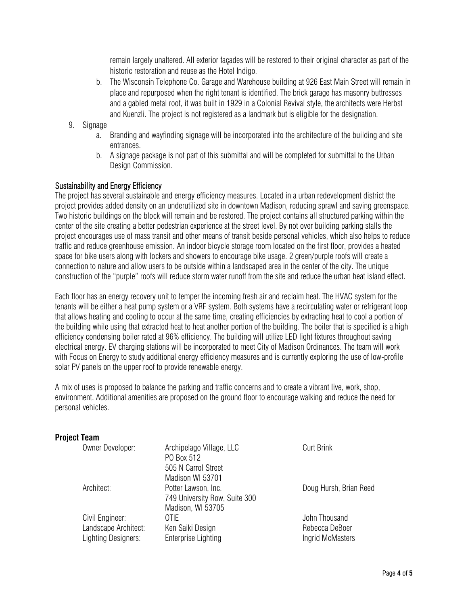remain largely unaltered. All exterior façades will be restored to their original character as part of the historic restoration and reuse as the Hotel Indigo.

- b. The Wisconsin Telephone Co. Garage and Warehouse building at 926 East Main Street will remain in place and repurposed when the right tenant is identified. The brick garage has masonry buttresses and a gabled metal roof, it was built in 1929 in a Colonial Revival style, the architects were Herbst and Kuenzli. The project is not registered as a landmark but is eligible for the designation.
- 9. Signage
	- a. Branding and wayfinding signage will be incorporated into the architecture of the building and site entrances.
	- b. A signage package is not part of this submittal and will be completed for submittal to the Urban Design Commission.

# Sustainability and Energy Efficiency

The project has several sustainable and energy efficiency measures. Located in a urban redevelopment district the project provides added density on an underutilized site in downtown Madison, reducing sprawl and saving greenspace. Two historic buildings on the block will remain and be restored. The project contains all structured parking within the center of the site creating a better pedestrian experience at the street level. By not over building parking stalls the project encourages use of mass transit and other means of transit beside personal vehicles, which also helps to reduce traffic and reduce greenhouse emission. An indoor bicycle storage room located on the first floor, provides a heated space for bike users along with lockers and showers to encourage bike usage. 2 green/purple roofs will create a connection to nature and allow users to be outside within a landscaped area in the center of the city. The unique construction of the "purple" roofs will reduce storm water runoff from the site and reduce the urban heat island effect.

Each floor has an energy recovery unit to temper the incoming fresh air and reclaim heat. The HVAC system for the tenants will be either a heat pump system or a VRF system. Both systems have a recirculating water or refrigerant loop that allows heating and cooling to occur at the same time, creating efficiencies by extracting heat to cool a portion of the building while using that extracted heat to heat another portion of the building. The boiler that is specified is a high efficiency condensing boiler rated at 96% efficiency. The building will utilize LED light fixtures throughout saving electrical energy. EV charging stations will be incorporated to meet City of Madison Ordinances. The team will work with Focus on Energy to study additional energy efficiency measures and is currently exploring the use of low-profile solar PV panels on the upper roof to provide renewable energy.

A mix of uses is proposed to balance the parking and traffic concerns and to create a vibrant live, work, shop, environment. Additional amenities are proposed on the ground floor to encourage walking and reduce the need for personal vehicles.

#### **Project Team**

| Owner Developer:     | Archipelago Village, LLC      | <b>Curt Brink</b>      |
|----------------------|-------------------------------|------------------------|
|                      | PO Box 512                    |                        |
|                      | 505 N Carrol Street           |                        |
|                      | Madison WI 53701              |                        |
| Architect:           | Potter Lawson, Inc.           | Doug Hursh, Brian Reed |
|                      | 749 University Row, Suite 300 |                        |
|                      | Madison, WI 53705             |                        |
| Civil Engineer:      | 0TIF                          | John Thousand          |
| Landscape Architect: | Ken Saiki Design              | Rebecca DeBoer         |
| Lighting Designers:  | Enterprise Lighting           | Ingrid McMasters       |
|                      |                               |                        |